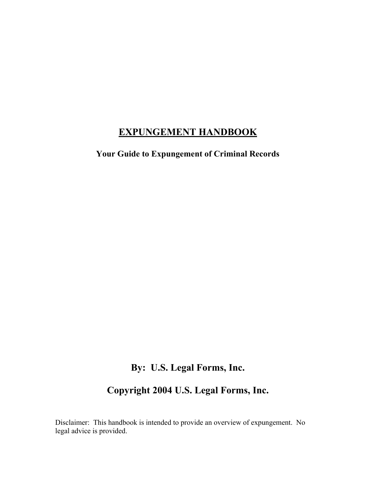## **EXPUNGEMENT HANDBOOK**

**Your Guide to Expungement of Criminal Records** 

## **By: U.S. Legal Forms, Inc.**

## **Copyright 2004 U.S. Legal Forms, Inc.**

Disclaimer: This handbook is intended to provide an overview of expungement. No legal advice is provided.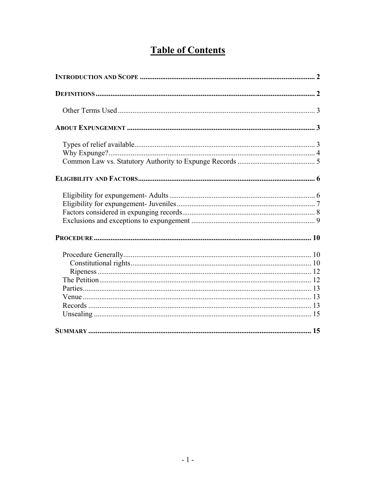# **Table of Contents**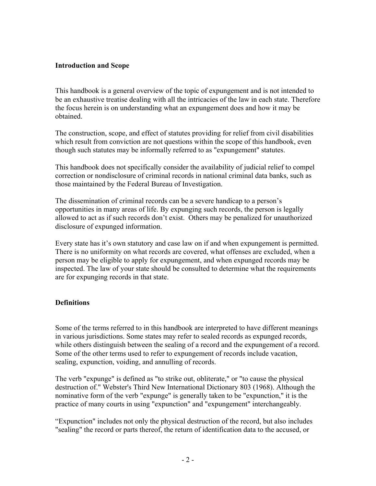#### **Introduction and Scope**

This handbook is a general overview of the topic of expungement and is not intended to be an exhaustive treatise dealing with all the intricacies of the law in each state. Therefore the focus herein is on understanding what an expungement does and how it may be obtained.

The construction, scope, and effect of statutes providing for relief from civil disabilities which result from conviction are not questions within the scope of this handbook, even though such statutes may be informally referred to as "expungement" statutes.

This handbook does not specifically consider the availability of judicial relief to compel correction or nondisclosure of criminal records in national criminal data banks, such as those maintained by the Federal Bureau of Investigation.

The dissemination of criminal records can be a severe handicap to a person's opportunities in many areas of life. By expunging such records, the person is legally allowed to act as if such records don't exist. Others may be penalized for unauthorized disclosure of expunged information.

Every state has it's own statutory and case law on if and when expungement is permitted. There is no uniformity on what records are covered, what offenses are excluded, when a person may be eligible to apply for expungement, and when expunged records may be inspected. The law of your state should be consulted to determine what the requirements are for expunging records in that state.

#### **Definitions**

Some of the terms referred to in this handbook are interpreted to have different meanings in various jurisdictions. Some states may refer to sealed records as expunged records, while others distinguish between the sealing of a record and the expungement of a record. Some of the other terms used to refer to expungement of records include vacation, sealing, expunction, voiding, and annulling of records.

The verb "expunge" is defined as "to strike out, obliterate," or "to cause the physical destruction of." Webster's Third New International Dictionary 803 (1968). Although the nominative form of the verb "expunge" is generally taken to be "expunction," it is the practice of many courts in using "expunction" and "expungement" interchangeably.

"Expunction" includes not only the physical destruction of the record, but also includes "sealing" the record or parts thereof, the return of identification data to the accused, or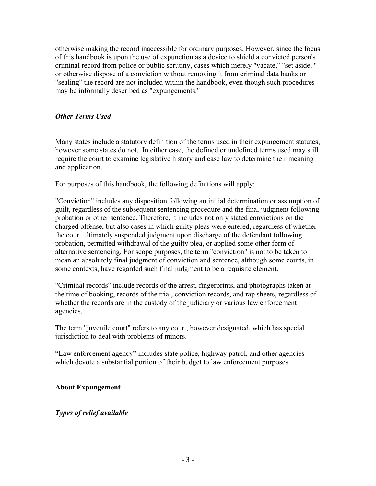otherwise making the record inaccessible for ordinary purposes. However, since the focus of this handbook is upon the use of expunction as a device to shield a convicted person's criminal record from police or public scrutiny, cases which merely "vacate," "set aside, " or otherwise dispose of a conviction without removing it from criminal data banks or "sealing" the record are not included within the handbook, even though such procedures may be informally described as "expungements."

#### *Other Terms Used*

Many states include a statutory definition of the terms used in their expungement statutes, however some states do not. In either case, the defined or undefined terms used may still require the court to examine legislative history and case law to determine their meaning and application.

For purposes of this handbook, the following definitions will apply:

"Conviction" includes any disposition following an initial determination or assumption of guilt, regardless of the subsequent sentencing procedure and the final judgment following probation or other sentence. Therefore, it includes not only stated convictions on the charged offense, but also cases in which guilty pleas were entered, regardless of whether the court ultimately suspended judgment upon discharge of the defendant following probation, permitted withdrawal of the guilty plea, or applied some other form of alternative sentencing. For scope purposes, the term "conviction" is not to be taken to mean an absolutely final judgment of conviction and sentence, although some courts, in some contexts, have regarded such final judgment to be a requisite element.

"Criminal records" include records of the arrest, fingerprints, and photographs taken at the time of booking, records of the trial, conviction records, and rap sheets, regardless of whether the records are in the custody of the judiciary or various law enforcement agencies.

The term "juvenile court" refers to any court, however designated, which has special jurisdiction to deal with problems of minors.

"Law enforcement agency" includes state police, highway patrol, and other agencies which devote a substantial portion of their budget to law enforcement purposes.

#### **About Expungement**

#### *Types of relief available*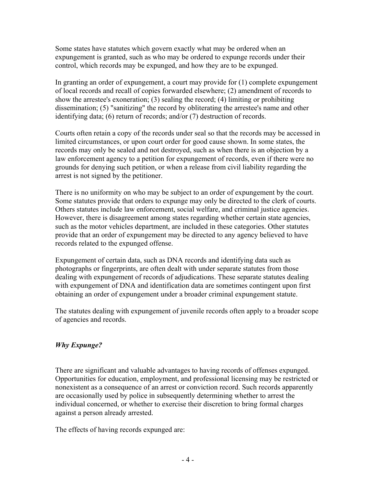Some states have statutes which govern exactly what may be ordered when an expungement is granted, such as who may be ordered to expunge records under their control, which records may be expunged, and how they are to be expunged.

In granting an order of expungement, a court may provide for (1) complete expungement of local records and recall of copies forwarded elsewhere; (2) amendment of records to show the arrestee's exoneration; (3) sealing the record; (4) limiting or prohibiting dissemination; (5) "sanitizing" the record by obliterating the arrestee's name and other identifying data; (6) return of records; and/or (7) destruction of records.

Courts often retain a copy of the records under seal so that the records may be accessed in limited circumstances, or upon court order for good cause shown. In some states, the records may only be sealed and not destroyed, such as when there is an objection by a law enforcement agency to a petition for expungement of records, even if there were no grounds for denying such petition, or when a release from civil liability regarding the arrest is not signed by the petitioner.

There is no uniformity on who may be subject to an order of expungement by the court. Some statutes provide that orders to expunge may only be directed to the clerk of courts. Others statutes include law enforcement, social welfare, and criminal justice agencies. However, there is disagreement among states regarding whether certain state agencies, such as the motor vehicles department, are included in these categories. Other statutes provide that an order of expungement may be directed to any agency believed to have records related to the expunged offense.

Expungement of certain data, such as DNA records and identifying data such as photographs or fingerprints, are often dealt with under separate statutes from those dealing with expungement of records of adjudications. These separate statutes dealing with expungement of DNA and identification data are sometimes contingent upon first obtaining an order of expungement under a broader criminal expungement statute.

The statutes dealing with expungement of juvenile records often apply to a broader scope of agencies and records.

## *Why Expunge?*

There are significant and valuable advantages to having records of offenses expunged. Opportunities for education, employment, and professional licensing may be restricted or nonexistent as a consequence of an arrest or conviction record. Such records apparently are occasionally used by police in subsequently determining whether to arrest the individual concerned, or whether to exercise their discretion to bring formal charges against a person already arrested.

The effects of having records expunged are: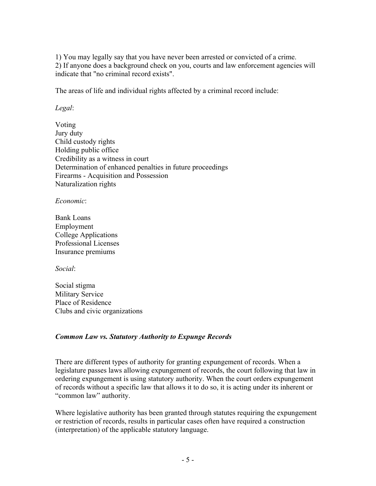1) You may legally say that you have never been arrested or convicted of a crime. 2) If anyone does a background check on you, courts and law enforcement agencies will indicate that "no criminal record exists".

The areas of life and individual rights affected by a criminal record include:

*Legal*:

Voting Jury duty Child custody rights Holding public office Credibility as a witness in court Determination of enhanced penalties in future proceedings Firearms - Acquisition and Possession Naturalization rights

*Economic*:

Bank Loans Employment College Applications Professional Licenses Insurance premiums

*Social*:

Social stigma Military Service Place of Residence Clubs and civic organizations

#### *Common Law vs. Statutory Authority to Expunge Records*

There are different types of authority for granting expungement of records. When a legislature passes laws allowing expungement of records, the court following that law in ordering expungement is using statutory authority. When the court orders expungement of records without a specific law that allows it to do so, it is acting under its inherent or "common law" authority.

Where legislative authority has been granted through statutes requiring the expungement or restriction of records, results in particular cases often have required a construction (interpretation) of the applicable statutory language.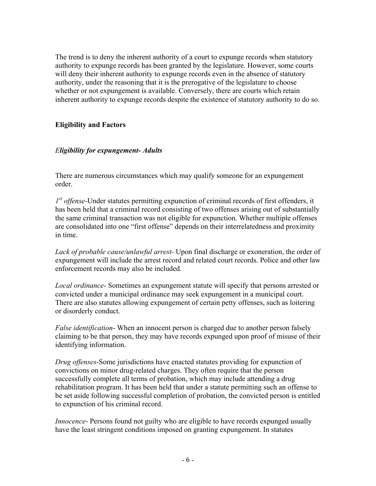The trend is to deny the inherent authority of a court to expunge records when statutory authority to expunge records has been granted by the legislature. However, some courts will deny their inherent authority to expunge records even in the absence of statutory authority, under the reasoning that it is the prerogative of the legislature to choose whether or not expungement is available. Conversely, there are courts which retain inherent authority to expunge records despite the existence of statutory authority to do so.

### **Eligibility and Factors**

#### *Eligibility for expungement- Adults*

There are numerous circumstances which may qualify someone for an expungement order.

*1st offense*-Under statutes permitting expunction of criminal records of first offenders, it has been held that a criminal record consisting of two offenses arising out of substantially the same criminal transaction was not eligible for expunction. Whether multiple offenses are consolidated into one "first offense" depends on their interrelatedness and proximity in time.

*Lack of probable cause/unlawful arrest-* Upon final discharge or exoneration, the order of expungement will include the arrest record and related court records. Police and other law enforcement records may also be included.

*Local ordinance*- Sometimes an expungement statute will specify that persons arrested or convicted under a municipal ordinance may seek expungement in a municipal court. There are also statutes allowing expungement of certain petty offenses, such as loitering or disorderly conduct.

*False identification*- When an innocent person is charged due to another person falsely claiming to be that person, they may have records expunged upon proof of misuse of their identifying information.

*Drug offenses*-Some jurisdictions have enacted statutes providing for expunction of convictions on minor drug-related charges. They often require that the person successfully complete all terms of probation, which may include attending a drug rehabilitation program. It has been held that under a statute permitting such an offense to be set aside following successful completion of probation, the convicted person is entitled to expunction of his criminal record.

*Innocence*- Persons found not guilty who are eligible to have records expunged usually have the least stringent conditions imposed on granting expungement. In statutes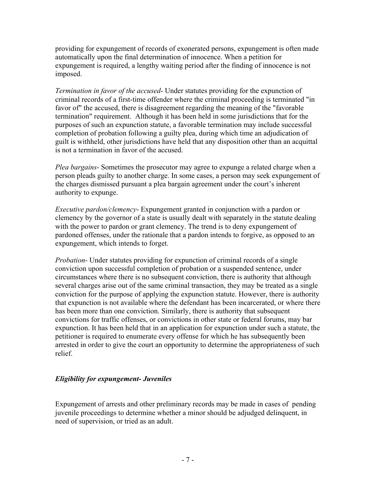providing for expungement of records of exonerated persons, expungement is often made automatically upon the final determination of innocence. When a petition for expungement is required, a lengthy waiting period after the finding of innocence is not imposed.

*Termination in favor of the accused*- Under statutes providing for the expunction of criminal records of a first-time offender where the criminal proceeding is terminated "in favor of" the accused, there is disagreement regarding the meaning of the "favorable termination" requirement. Although it has been held in some jurisdictions that for the purposes of such an expunction statute, a favorable termination may include successful completion of probation following a guilty plea, during which time an adjudication of guilt is withheld, other jurisdictions have held that any disposition other than an acquittal is not a termination in favor of the accused.

*Plea bargains*- Sometimes the prosecutor may agree to expunge a related charge when a person pleads guilty to another charge. In some cases, a person may seek expungement of the charges dismissed pursuant a plea bargain agreement under the court's inherent authority to expunge.

*Executive pardon/clemency*- Expungement granted in conjunction with a pardon or clemency by the governor of a state is usually dealt with separately in the statute dealing with the power to pardon or grant clemency. The trend is to deny expungement of pardoned offenses, under the rationale that a pardon intends to forgive, as opposed to an expungement, which intends to forget.

*Probation*- Under statutes providing for expunction of criminal records of a single conviction upon successful completion of probation or a suspended sentence, under circumstances where there is no subsequent conviction, there is authority that although several charges arise out of the same criminal transaction, they may be treated as a single conviction for the purpose of applying the expunction statute. However, there is authority that expunction is not available where the defendant has been incarcerated, or where there has been more than one conviction. Similarly, there is authority that subsequent convictions for traffic offenses, or convictions in other state or federal forums, may bar expunction. It has been held that in an application for expunction under such a statute, the petitioner is required to enumerate every offense for which he has subsequently been arrested in order to give the court an opportunity to determine the appropriateness of such relief.

## *Eligibility for expungement- Juveniles*

Expungement of arrests and other preliminary records may be made in cases of pending juvenile proceedings to determine whether a minor should be adjudged delinquent, in need of supervision, or tried as an adult.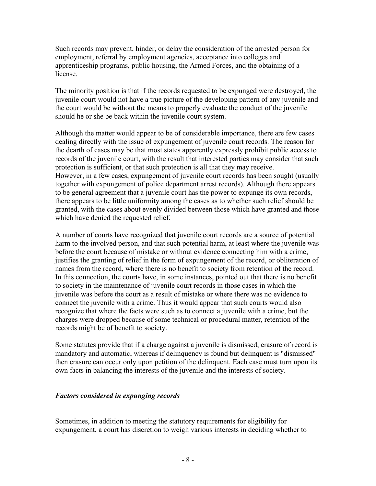Such records may prevent, hinder, or delay the consideration of the arrested person for employment, referral by employment agencies, acceptance into colleges and apprenticeship programs, public housing, the Armed Forces, and the obtaining of a license.

The minority position is that if the records requested to be expunged were destroyed, the juvenile court would not have a true picture of the developing pattern of any juvenile and the court would be without the means to properly evaluate the conduct of the juvenile should he or she be back within the juvenile court system.

Although the matter would appear to be of considerable importance, there are few cases dealing directly with the issue of expungement of juvenile court records. The reason for the dearth of cases may be that most states apparently expressly prohibit public access to records of the juvenile court, with the result that interested parties may consider that such protection is sufficient, or that such protection is all that they may receive. However, in a few cases, expungement of juvenile court records has been sought (usually together with expungement of police department arrest records). Although there appears to be general agreement that a juvenile court has the power to expunge its own records, there appears to be little uniformity among the cases as to whether such relief should be granted, with the cases about evenly divided between those which have granted and those which have denied the requested relief.

A number of courts have recognized that juvenile court records are a source of potential harm to the involved person, and that such potential harm, at least where the juvenile was before the court because of mistake or without evidence connecting him with a crime, justifies the granting of relief in the form of expungement of the record, or obliteration of names from the record, where there is no benefit to society from retention of the record. In this connection, the courts have, in some instances, pointed out that there is no benefit to society in the maintenance of juvenile court records in those cases in which the juvenile was before the court as a result of mistake or where there was no evidence to connect the juvenile with a crime. Thus it would appear that such courts would also recognize that where the facts were such as to connect a juvenile with a crime, but the charges were dropped because of some technical or procedural matter, retention of the records might be of benefit to society.

Some statutes provide that if a charge against a juvenile is dismissed, erasure of record is mandatory and automatic, whereas if delinquency is found but delinquent is "dismissed" then erasure can occur only upon petition of the delinquent. Each case must turn upon its own facts in balancing the interests of the juvenile and the interests of society.

#### *Factors considered in expunging records*

Sometimes, in addition to meeting the statutory requirements for eligibility for expungement, a court has discretion to weigh various interests in deciding whether to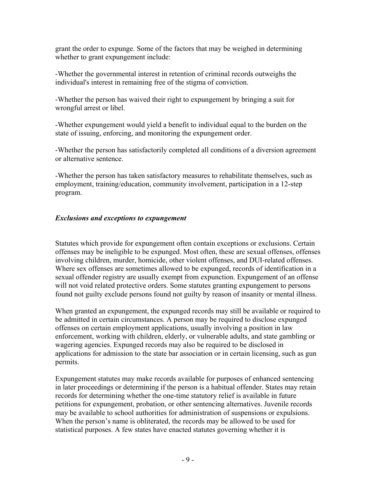grant the order to expunge. Some of the factors that may be weighed in determining whether to grant expungement include:

-Whether the governmental interest in retention of criminal records outweighs the individual's interest in remaining free of the stigma of conviction.

-Whether the person has waived their right to expungement by bringing a suit for wrongful arrest or libel.

-Whether expungement would yield a benefit to individual equal to the burden on the state of issuing, enforcing, and monitoring the expungement order.

-Whether the person has satisfactorily completed all conditions of a diversion agreement or alternative sentence.

-Whether the person has taken satisfactory measures to rehabilitate themselves, such as employment, training/education, community involvement, participation in a 12-step program.

### *Exclusions and exceptions to expungement*

Statutes which provide for expungement often contain exceptions or exclusions. Certain offenses may be ineligible to be expunged. Most often, these are sexual offenses, offenses involving children, murder, homicide, other violent offenses, and DUI-related offenses. Where sex offenses are sometimes allowed to be expunged, records of identification in a sexual offender registry are usually exempt from expunction. Expungement of an offense will not void related protective orders. Some statutes granting expungement to persons found not guilty exclude persons found not guilty by reason of insanity or mental illness.

When granted an expungement, the expunged records may still be available or required to be admitted in certain circumstances. A person may be required to disclose expunged offenses on certain employment applications, usually involving a position in law enforcement, working with children, elderly, or vulnerable adults, and state gambling or wagering agencies. Expunged records may also be required to be disclosed in applications for admission to the state bar association or in certain licensing, such as gun permits.

Expungement statutes may make records available for purposes of enhanced sentencing in later proceedings or determining if the person is a habitual offender. States may retain records for determining whether the one-time statutory relief is available in future petitions for expungement, probation, or other sentencing alternatives. Juvenile records may be available to school authorities for administration of suspensions or expulsions. When the person's name is obliterated, the records may be allowed to be used for statistical purposes. A few states have enacted statutes governing whether it is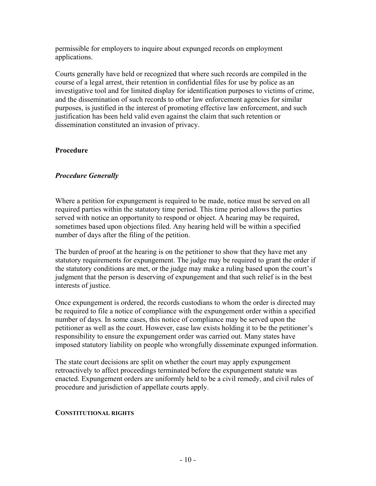permissible for employers to inquire about expunged records on employment applications.

Courts generally have held or recognized that where such records are compiled in the course of a legal arrest, their retention in confidential files for use by police as an investigative tool and for limited display for identification purposes to victims of crime, and the dissemination of such records to other law enforcement agencies for similar purposes, is justified in the interest of promoting effective law enforcement, and such justification has been held valid even against the claim that such retention or dissemination constituted an invasion of privacy.

#### **Procedure**

#### *Procedure Generally*

Where a petition for expungement is required to be made, notice must be served on all required parties within the statutory time period. This time period allows the parties served with notice an opportunity to respond or object. A hearing may be required, sometimes based upon objections filed. Any hearing held will be within a specified number of days after the filing of the petition.

The burden of proof at the hearing is on the petitioner to show that they have met any statutory requirements for expungement. The judge may be required to grant the order if the statutory conditions are met, or the judge may make a ruling based upon the court's judgment that the person is deserving of expungement and that such relief is in the best interests of justice.

Once expungement is ordered, the records custodians to whom the order is directed may be required to file a notice of compliance with the expungement order within a specified number of days. In some cases, this notice of compliance may be served upon the petitioner as well as the court. However, case law exists holding it to be the petitioner's responsibility to ensure the expungement order was carried out. Many states have imposed statutory liability on people who wrongfully disseminate expunged information.

The state court decisions are split on whether the court may apply expungement retroactively to affect proceedings terminated before the expungement statute was enacted. Expungement orders are uniformly held to be a civil remedy, and civil rules of procedure and jurisdiction of appellate courts apply.

#### **CONSTITUTIONAL RIGHTS**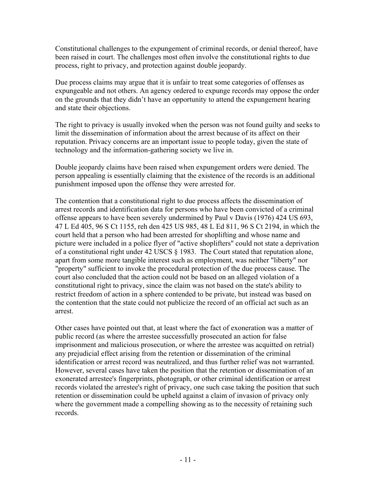Constitutional challenges to the expungement of criminal records, or denial thereof, have been raised in court. The challenges most often involve the constitutional rights to due process, right to privacy, and protection against double jeopardy.

Due process claims may argue that it is unfair to treat some categories of offenses as expungeable and not others. An agency ordered to expunge records may oppose the order on the grounds that they didn't have an opportunity to attend the expungement hearing and state their objections.

The right to privacy is usually invoked when the person was not found guilty and seeks to limit the dissemination of information about the arrest because of its affect on their reputation. Privacy concerns are an important issue to people today, given the state of technology and the information-gathering society we live in.

Double jeopardy claims have been raised when expungement orders were denied. The person appealing is essentially claiming that the existence of the records is an additional punishment imposed upon the offense they were arrested for.

The contention that a constitutional right to due process affects the dissemination of arrest records and identification data for persons who have been convicted of a criminal offense appears to have been severely undermined by Paul v Davis (1976) 424 US 693, 47 L Ed 405, 96 S Ct 1155, reh den 425 US 985, 48 L Ed 811, 96 S Ct 2194, in which the court held that a person who had been arrested for shoplifting and whose name and picture were included in a police flyer of "active shoplifters" could not state a deprivation of a constitutional right under 42 USCS § 1983. The Court stated that reputation alone, apart from some more tangible interest such as employment, was neither "liberty" nor "property" sufficient to invoke the procedural protection of the due process cause. The court also concluded that the action could not be based on an alleged violation of a constitutional right to privacy, since the claim was not based on the state's ability to restrict freedom of action in a sphere contended to be private, but instead was based on the contention that the state could not publicize the record of an official act such as an arrest.

Other cases have pointed out that, at least where the fact of exoneration was a matter of public record (as where the arrestee successfully prosecuted an action for false imprisonment and malicious prosecution, or where the arrestee was acquitted on retrial) any prejudicial effect arising from the retention or dissemination of the criminal identification or arrest record was neutralized, and thus further relief was not warranted. However, several cases have taken the position that the retention or dissemination of an exonerated arrestee's fingerprints, photograph, or other criminal identification or arrest records violated the arrestee's right of privacy, one such case taking the position that such retention or dissemination could be upheld against a claim of invasion of privacy only where the government made a compelling showing as to the necessity of retaining such records.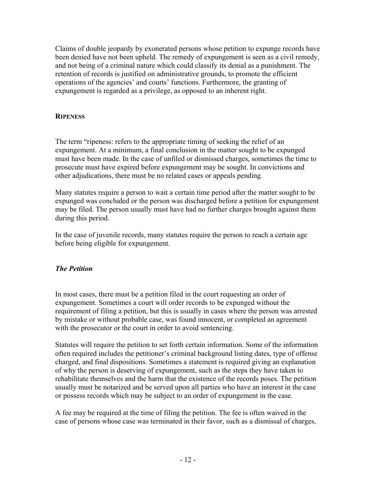Claims of double jeopardy by exonerated persons whose petition to expunge records have been denied have not been upheld. The remedy of expungement is seen as a civil remedy, and not being of a criminal nature which could classify its denial as a punishment. The retention of records is justified on administrative grounds, to promote the efficient operations of the agencies' and courts' functions. Furthermore, the granting of expungement is regarded as a privilege, as opposed to an inherent right.

#### **RIPENESS**

The term "ripeness: refers to the appropriate timing of seeking the relief of an expungement. At a minimum, a final conclusion in the matter sought to be expunged must have been made. In the case of unfiled or dismissed charges, sometimes the time to prosecute must have expired before expungement may be sought. In convictions and other adjudications, there must be no related cases or appeals pending.

Many statutes require a person to wait a certain time period after the matter sought to be expunged was concluded or the person was discharged before a petition for expungement may be filed. The person usually must have had no further charges brought against them during this period.

In the case of juvenile records, many statutes require the person to reach a certain age before being eligible for expungement.

## *The Petition*

In most cases, there must be a petition filed in the court requesting an order of expungement. Sometimes a court will order records to be expunged without the requirement of filing a petition, but this is usually in cases where the person was arrested by mistake or without probable case, was found innocent, or completed an agreement with the prosecutor or the court in order to avoid sentencing.

Statutes will require the petition to set forth certain information. Some of the information often required includes the petitioner's criminal background listing dates, type of offense charged, and final dispositions. Sometimes a statement is required giving an explanation of why the person is deserving of expungement, such as the steps they have taken to rehabilitate themselves and the harm that the existence of the records poses. The petition usually must be notarized and be served upon all parties who have an interest in the case or possess records which may be subject to an order of expungement in the case.

A fee may be required at the time of filing the petition. The fee is often waived in the case of persons whose case was terminated in their favor, such as a dismissal of charges,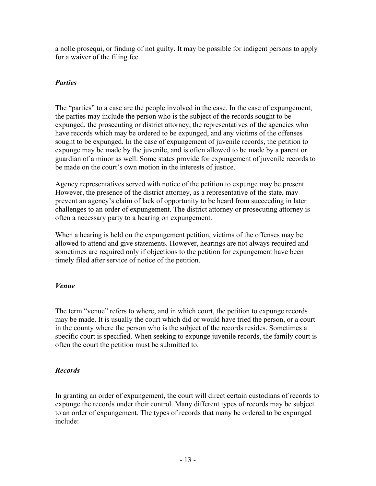a nolle prosequi, or finding of not guilty. It may be possible for indigent persons to apply for a waiver of the filing fee.

## *Parties*

The "parties" to a case are the people involved in the case. In the case of expungement, the parties may include the person who is the subject of the records sought to be expunged, the prosecuting or district attorney, the representatives of the agencies who have records which may be ordered to be expunged, and any victims of the offenses sought to be expunged. In the case of expungement of juvenile records, the petition to expunge may be made by the juvenile, and is often allowed to be made by a parent or guardian of a minor as well. Some states provide for expungement of juvenile records to be made on the court's own motion in the interests of justice.

Agency representatives served with notice of the petition to expunge may be present. However, the presence of the district attorney, as a representative of the state, may prevent an agency's claim of lack of opportunity to be heard from succeeding in later challenges to an order of expungement. The district attorney or prosecuting attorney is often a necessary party to a hearing on expungement.

When a hearing is held on the expungement petition, victims of the offenses may be allowed to attend and give statements. However, hearings are not always required and sometimes are required only if objections to the petition for expungement have been timely filed after service of notice of the petition.

## *Venue*

The term "venue" refers to where, and in which court, the petition to expunge records may be made. It is usually the court which did or would have tried the person, or a court in the county where the person who is the subject of the records resides. Sometimes a specific court is specified. When seeking to expunge juvenile records, the family court is often the court the petition must be submitted to.

## *Records*

In granting an order of expungement, the court will direct certain custodians of records to expunge the records under their control. Many different types of records may be subject to an order of expungement. The types of records that many be ordered to be expunged include: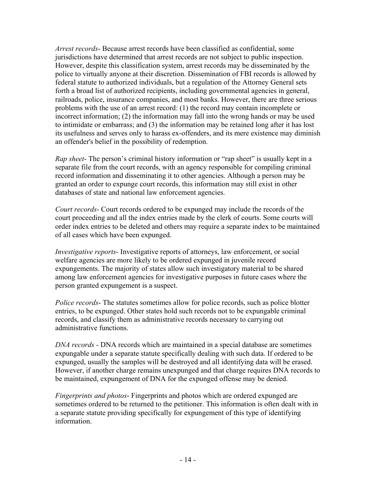*Arrest records*- Because arrest records have been classified as confidential, some jurisdictions have determined that arrest records are not subject to public inspection. However, despite this classification system, arrest records may be disseminated by the police to virtually anyone at their discretion. Dissemination of FBI records is allowed by federal statute to authorized individuals, but a regulation of the Attorney General sets forth a broad list of authorized recipients, including governmental agencies in general, railroads, police, insurance companies, and most banks. However, there are three serious problems with the use of an arrest record: (1) the record may contain incomplete or incorrect information; (2) the information may fall into the wrong hands or may be used to intimidate or embarrass; and (3) the information may be retained long after it has lost its usefulness and serves only to harass ex-offenders, and its mere existence may diminish an offender's belief in the possibility of redemption.

*Rap sheet*- The person's criminal history information or "rap sheet" is usually kept in a separate file from the court records, with an agency responsible for compiling criminal record information and disseminating it to other agencies. Although a person may be granted an order to expunge court records, this information may still exist in other databases of state and national law enforcement agencies.

*Court records*- Court records ordered to be expunged may include the records of the court proceeding and all the index entries made by the clerk of courts. Some courts will order index entries to be deleted and others may require a separate index to be maintained of all cases which have been expunged.

*Investigative reports*- Investigative reports of attorneys, law enforcement, or social welfare agencies are more likely to be ordered expunged in juvenile record expungements. The majority of states allow such investigatory material to be shared among law enforcement agencies for investigative purposes in future cases where the person granted expungement is a suspect.

*Police records*- The statutes sometimes allow for police records, such as police blotter entries, to be expunged. Other states hold such records not to be expungable criminal records, and classify them as administrative records necessary to carrying out administrative functions.

*DNA records* - DNA records which are maintained in a special database are sometimes expungable under a separate statute specifically dealing with such data. If ordered to be expunged, usually the samples will be destroyed and all identifying data will be erased. However, if another charge remains unexpunged and that charge requires DNA records to be maintained, expungement of DNA for the expunged offense may be denied.

*Fingerprints and photos*- Fingerprints and photos which are ordered expunged are sometimes ordered to be returned to the petitioner. This information is often dealt with in a separate statute providing specifically for expungement of this type of identifying information.